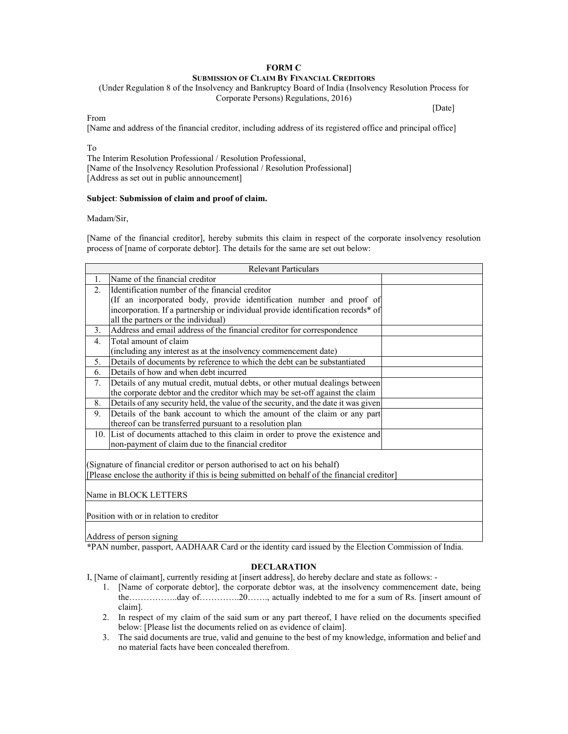## **FORM C SUBMISSION OF CLAIM BY FINANCIAL CREDITORS**

(Under Regulation 8 of the Insolvency and Bankruptcy Board of India (Insolvency Resolution Process for Corporate Persons) Regulations, 2016)

[Date]

From

[Name and address of the financial creditor, including address of its registered office and principal office]

To

The Interim Resolution Professional / Resolution Professional, [Name of the Insolvency Resolution Professional / Resolution Professional] [Address as set out in public announcement]

## **Subject**: **Submission of claim and proof of claim.**

Madam/Sir,

[Name of the financial creditor], hereby submits this claim in respect of the corporate insolvency resolution process of [name of corporate debtor]. The details for the same are set out below:

| <b>Relevant Particulars</b>                                                                   |                                                                                    |
|-----------------------------------------------------------------------------------------------|------------------------------------------------------------------------------------|
| 1.                                                                                            | Name of the financial creditor                                                     |
| $\overline{2}$ .                                                                              | Identification number of the financial creditor                                    |
|                                                                                               | (If an incorporated body, provide identification number and proof of               |
|                                                                                               | incorporation. If a partnership or individual provide identification records* of   |
|                                                                                               | all the partners or the individual)                                                |
| 3.                                                                                            | Address and email address of the financial creditor for correspondence             |
| $\overline{4}$ .                                                                              | Total amount of claim                                                              |
|                                                                                               | (including any interest as at the insolvency commencement date)                    |
| 5.                                                                                            | Details of documents by reference to which the debt can be substantiated           |
| 6.                                                                                            | Details of how and when debt incurred                                              |
| 7.                                                                                            | Details of any mutual credit, mutual debts, or other mutual dealings between       |
|                                                                                               | the corporate debtor and the creditor which may be set-off against the claim       |
| 8.                                                                                            | Details of any security held, the value of the security, and the date it was given |
| 9.                                                                                            | Details of the bank account to which the amount of the claim or any part           |
|                                                                                               | thereof can be transferred pursuant to a resolution plan                           |
|                                                                                               | 10. List of documents attached to this claim in order to prove the existence and   |
|                                                                                               | non-payment of claim due to the financial creditor                                 |
|                                                                                               |                                                                                    |
| (Signature of financial creditor or person authorised to act on his behalf)                   |                                                                                    |
| [Please enclose the authority if this is being submitted on behalf of the financial creditor] |                                                                                    |
|                                                                                               |                                                                                    |
| Name in BLOCK LETTERS                                                                         |                                                                                    |
|                                                                                               |                                                                                    |
| Position with or in relation to creditor                                                      |                                                                                    |
|                                                                                               |                                                                                    |

Address of person signing

**\***PAN number, passport, AADHAAR Card or the identity card issued by the Election Commission of India.

## **DECLARATION**

I, [Name of claimant], currently residing at [insert address], do hereby declare and state as follows: -

- 1. [Name of corporate debtor], the corporate debtor was, at the insolvency commencement date, being the……………..day of…………..20……., actually indebted to me for a sum of Rs. [insert amount of claim].
- 2. In respect of my claim of the said sum or any part thereof, I have relied on the documents specified below: [Please list the documents relied on as evidence of claim].
- 3. The said documents are true, valid and genuine to the best of my knowledge, information and belief and no material facts have been concealed therefrom.